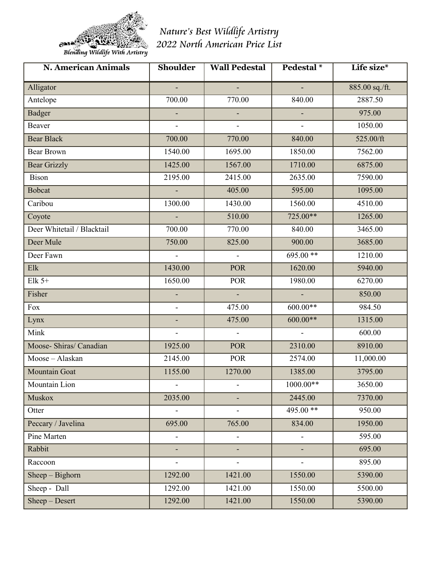

*Nature's Best Wildlife Artistry 2022 North American Price List*

| <b>N. American Animals</b> | <b>Shoulder</b>          | <b>Wall Pedestal</b>     | Pedestal <sup>*</sup>    | Life size*     |
|----------------------------|--------------------------|--------------------------|--------------------------|----------------|
| Alligator                  |                          |                          |                          | 885.00 sq./ft. |
| Antelope                   | 700.00                   | 770.00                   | 840.00                   | 2887.50        |
| <b>Badger</b>              | ÷.                       | $\mathcal{L}^{\pm}$      | $\sim$                   | 975.00         |
| Beaver                     | $\blacksquare$           | $\sim$                   | $\overline{\phantom{0}}$ | 1050.00        |
| <b>Bear Black</b>          | 700.00                   | 770.00                   | 840.00                   | 525.00/ft      |
| <b>Bear Brown</b>          | 1540.00                  | 1695.00                  | 1850.00                  | 7562.00        |
| <b>Bear Grizzly</b>        | 1425.00                  | 1567.00                  | 1710.00                  | 6875.00        |
| Bison                      | 2195.00                  | 2415.00                  | 2635.00                  | 7590.00        |
| <b>Bobcat</b>              | ÷.                       | 405.00                   | 595.00                   | 1095.00        |
| Caribou                    | 1300.00                  | 1430.00                  | 1560.00                  | 4510.00        |
| Coyote                     | ÷.                       | 510.00                   | 725.00**                 | 1265.00        |
| Deer Whitetail / Blacktail | 700.00                   | 770.00                   | 840.00                   | 3465.00        |
| Deer Mule                  | 750.00                   | 825.00                   | 900.00                   | 3685.00        |
| Deer Fawn                  | $\blacksquare$           | $\equiv$                 | 695.00**                 | 1210.00        |
| Elk                        | 1430.00                  | <b>POR</b>               | 1620.00                  | 5940.00        |
| Elk $5+$                   | 1650.00                  | <b>POR</b>               | 1980.00                  | 6270.00        |
| Fisher                     |                          | $\sim$                   |                          | 850.00         |
| Fox                        | $\overline{\phantom{a}}$ | 475.00                   | $600.00**$               | 984.50         |
| Lynx                       |                          | 475.00                   | $600.00**$               | 1315.00        |
| Mink                       | $\overline{\phantom{a}}$ | $\omega$                 | $\sim$                   | 600.00         |
| Moose- Shiras/ Canadian    | 1925.00                  | <b>POR</b>               | 2310.00                  | 8910.00        |
| Moose-Alaskan              | 2145.00                  | <b>POR</b>               | 2574.00                  | 11,000.00      |
| Mountain Goat              | 1155.00                  | 1270.00                  | 1385.00                  | 3795.00        |
| Mountain Lion              |                          |                          | $1000.00**$              | 3650.00        |
| Muskox                     | 2035.00                  | ۰,                       | 2445.00                  | 7370.00        |
| Otter                      | $\blacksquare$           | $\blacksquare$           | 495.00**                 | 950.00         |
| Peccary / Javelina         | 695.00                   | 765.00                   | 834.00                   | 1950.00        |
| Pine Marten                | $\overline{\phantom{a}}$ | $\blacksquare$           | $\blacksquare$           | 595.00         |
| Rabbit                     | н,                       | $\overline{\phantom{0}}$ |                          | 695.00         |
| Raccoon                    | $\overline{\phantom{a}}$ | $\blacksquare$           | $\blacksquare$           | 895.00         |
| $Sheep-Bighorn$            | 1292.00                  | 1421.00                  | 1550.00                  | 5390.00        |
| Sheep - Dall               | 1292.00                  | 1421.00                  | 1550.00                  | 5500.00        |
| Sheep - Desert             | 1292.00                  | 1421.00                  | 1550.00                  | 5390.00        |